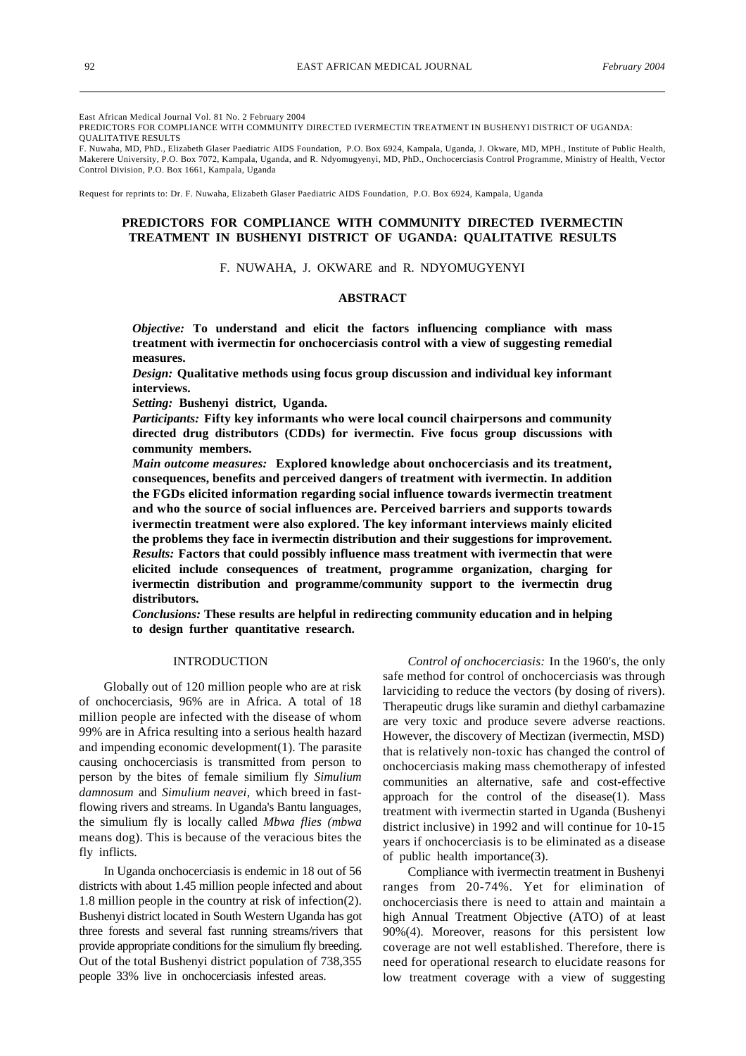East African Medical Journal Vol. 81 No. 2 February 2004

PREDICTORS FOR COMPLIANCE WITH COMMUNITY DIRECTED IVERMECTIN TREATMENT IN BUSHENYI DISTRICT OF UGANDA: QUALITATIVE RESULTS

F. Nuwaha, MD, PhD., Elizabeth Glaser Paediatric AIDS Foundation, P.O. Box 6924, Kampala, Uganda, J. Okware, MD, MPH., Institute of Public Health, Makerere University, P.O. Box 7072, Kampala, Uganda, and R. Ndyomugyenyi, MD, PhD., Onchocerciasis Control Programme, Ministry of Health, Vector Control Division, P.O. Box 1661, Kampala, Uganda

Request for reprints to: Dr. F. Nuwaha, Elizabeth Glaser Paediatric AIDS Foundation, P.O. Box 6924, Kampala, Uganda

# **PREDICTORS FOR COMPLIANCE WITH COMMUNITY DIRECTED IVERMECTIN TREATMENT IN BUSHENYI DISTRICT OF UGANDA: QUALITATIVE RESULTS**

F. NUWAHA, J. OKWARE and R. NDYOMUGYENYI

# **ABSTRACT**

*Objective:* **To understand and elicit the factors influencing compliance with mass treatment with ivermectin for onchocerciasis control with a view of suggesting remedial measures.**

*Design:* **Qualitative methods using focus group discussion and individual key informant interviews.**

*Setting:* **Bushenyi district, Uganda.**

*Participants:* **Fifty key informants who were local council chairpersons and community directed drug distributors (CDDs) for ivermectin. Five focus group discussions with community members.**

*Main outcome measures:* **Explored knowledge about onchocerciasis and its treatment, consequences, benefits and perceived dangers of treatment with ivermectin. In addition the FGDs elicited information regarding social influence towards ivermectin treatment and who the source of social influences are. Perceived barriers and supports towards ivermectin treatment were also explored. The key informant interviews mainly elicited the problems they face in ivermectin distribution and their suggestions for improvement.** *Results:* **Factors that could possibly influence mass treatment with ivermectin that were elicited include consequences of treatment, programme organization, charging for ivermectin distribution and programme/community support to the ivermectin drug distributors.**

*Conclusions:* **These results are helpful in redirecting community education and in helping to design further quantitative research.**

#### INTRODUCTION

Globally out of 120 million people who are at risk of onchocerciasis, 96% are in Africa. A total of 18 million people are infected with the disease of whom 99% are in Africa resulting into a serious health hazard and impending economic development(1). The parasite causing onchocerciasis is transmitted from person to person by the bites of female similium fly *Simulium damnosum* and *Simulium neavei,* which breed in fastflowing rivers and streams. In Uganda's Bantu languages, the simulium fly is locally called *Mbwa flies (mbwa* means dog). This is because of the veracious bites the fly inflicts.

In Uganda onchocerciasis is endemic in 18 out of 56 districts with about 1.45 million people infected and about 1.8 million people in the country at risk of infection(2). Bushenyi district located in South Western Uganda has got three forests and several fast running streams/rivers that provide appropriate conditions for the simulium fly breeding. Out of the total Bushenyi district population of 738,355 people 33% live in onchocerciasis infested areas.

*Control of onchocerciasis:* In the 1960's, the only safe method for control of onchocerciasis was through larviciding to reduce the vectors (by dosing of rivers). Therapeutic drugs like suramin and diethyl carbamazine are very toxic and produce severe adverse reactions. However, the discovery of Mectizan (ivermectin, MSD) that is relatively non-toxic has changed the control of onchocerciasis making mass chemotherapy of infested communities an alternative, safe and cost-effective approach for the control of the disease(1). Mass treatment with ivermectin started in Uganda (Bushenyi district inclusive) in 1992 and will continue for 10-15 years if onchocerciasis is to be eliminated as a disease of public health importance(3).

Compliance with ivermectin treatment in Bushenyi ranges from 20-74%. Yet for elimination of onchocerciasis there is need to attain and maintain a high Annual Treatment Objective (ATO) of at least 90%(4). Moreover, reasons for this persistent low coverage are not well established. Therefore, there is need for operational research to elucidate reasons for low treatment coverage with a view of suggesting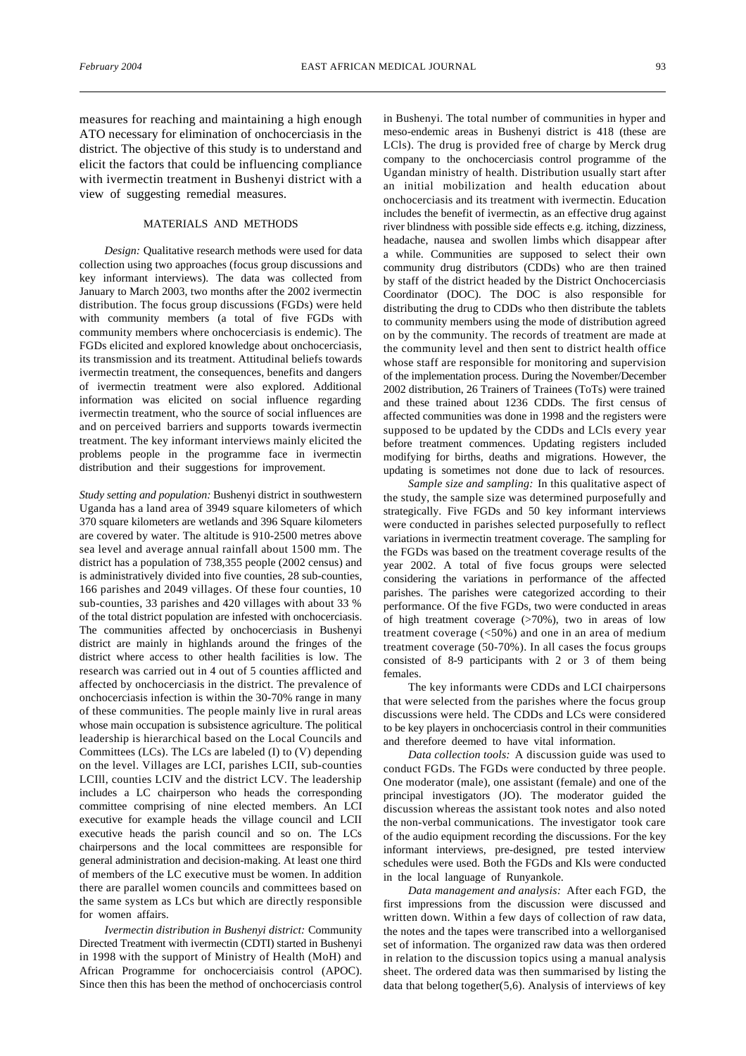measures for reaching and maintaining a high enough ATO necessary for elimination of onchocerciasis in the district. The objective of this study is to understand and elicit the factors that could be influencing compliance with ivermectin treatment in Bushenyi district with a view of suggesting remedial measures.

#### MATERIALS AND METHODS

*Design:* Qualitative research methods were used for data collection using two approaches (focus group discussions and key informant interviews). The data was collected from January to March 2003, two months after the 2002 ivermectin distribution. The focus group discussions (FGDs) were held with community members (a total of five FGDs with community members where onchocerciasis is endemic). The FGDs elicited and explored knowledge about onchocerciasis, its transmission and its treatment. Attitudinal beliefs towards ivermectin treatment, the consequences, benefits and dangers of ivermectin treatment were also explored. Additional information was elicited on social influence regarding ivermectin treatment, who the source of social influences are and on perceived barriers and supports towards ivermectin treatment. The key informant interviews mainly elicited the problems people in the programme face in ivermectin distribution and their suggestions for improvement.

*Study setting and population:* Bushenyi district in southwestern Uganda has a land area of 3949 square kilometers of which 370 square kilometers are wetlands and 396 Square kilometers are covered by water. The altitude is 910-2500 metres above sea level and average annual rainfall about 1500 mm. The district has a population of 738,355 people (2002 census) and is administratively divided into five counties, 28 sub-counties, 166 parishes and 2049 villages. Of these four counties, 10 sub-counties, 33 parishes and 420 villages with about 33 % of the total district population are infested with onchocerciasis. The communities affected by onchocerciasis in Bushenyi district are mainly in highlands around the fringes of the district where access to other health facilities is low. The research was carried out in 4 out of 5 counties afflicted and affected by onchocerciasis in the district. The prevalence of onchocerciasis infection is within the 30-70% range in many of these communities. The people mainly live in rural areas whose main occupation is subsistence agriculture. The political leadership is hierarchical based on the Local Councils and Committees (LCs). The LCs are labeled (I) to (V) depending on the level. Villages are LCI, parishes LCII, sub-counties LCIll, counties LCIV and the district LCV. The leadership includes a LC chairperson who heads the corresponding committee comprising of nine elected members. An LCI executive for example heads the village council and LCII executive heads the parish council and so on. The LCs chairpersons and the local committees are responsible for general administration and decision-making. At least one third of members of the LC executive must be women. In addition there are parallel women councils and committees based on the same system as LCs but which are directly responsible for women affairs.

*Ivermectin distribution in Bushenyi district:* Community Directed Treatment with ivermectin (CDTI) started in Bushenyi in 1998 with the support of Ministry of Health (MoH) and African Programme for onchocerciaisis control (APOC). Since then this has been the method of onchocerciasis control in Bushenyi. The total number of communities in hyper and meso-endemic areas in Bushenyi district is 418 (these are LCls). The drug is provided free of charge by Merck drug company to the onchocerciasis control programme of the Ugandan ministry of health. Distribution usually start after an initial mobilization and health education about onchocerciasis and its treatment with ivermectin. Education includes the benefit of ivermectin, as an effective drug against river blindness with possible side effects e.g. itching, dizziness, headache, nausea and swollen limbs which disappear after a while. Communities are supposed to select their own community drug distributors (CDDs) who are then trained by staff of the district headed by the District Onchocerciasis Coordinator (DOC). The DOC is also responsible for distributing the drug to CDDs who then distribute the tablets to community members using the mode of distribution agreed on by the community. The records of treatment are made at the community level and then sent to district health office whose staff are responsible for monitoring and supervision of the implementation process. During the November/December 2002 distribution, 26 Trainers of Trainees (ToTs) were trained and these trained about 1236 CDDs. The first census of affected communities was done in 1998 and the registers were supposed to be updated by the CDDs and LCls every year before treatment commences. Updating registers included modifying for births, deaths and migrations. However, the updating is sometimes not done due to lack of resources.

*Sample size and sampling:* In this qualitative aspect of the study, the sample size was determined purposefully and strategically. Five FGDs and 50 key informant interviews were conducted in parishes selected purposefully to reflect variations in ivermectin treatment coverage. The sampling for the FGDs was based on the treatment coverage results of the year 2002. A total of five focus groups were selected considering the variations in performance of the affected parishes. The parishes were categorized according to their performance. Of the five FGDs, two were conducted in areas of high treatment coverage  $(>70%)$ , two in areas of low treatment coverage (<50%) and one in an area of medium treatment coverage (50-70%). In all cases the focus groups consisted of 8-9 participants with 2 or 3 of them being females.

The key informants were CDDs and LCI chairpersons that were selected from the parishes where the focus group discussions were held. The CDDs and LCs were considered to be key players in onchocerciasis control in their communities and therefore deemed to have vital information.

*Data collection tools:* A discussion guide was used to conduct FGDs. The FGDs were conducted by three people. One moderator (male), one assistant (female) and one of the principal investigators (JO). The moderator guided the discussion whereas the assistant took notes and also noted the non-verbal communications. The investigator took care of the audio equipment recording the discussions. For the key informant interviews, pre-designed, pre tested interview schedules were used. Both the FGDs and Kls were conducted in the local language of Runyankole.

*Data management and analysis:* After each FGD, the first impressions from the discussion were discussed and written down. Within a few days of collection of raw data, the notes and the tapes were transcribed into a wellorganised set of information. The organized raw data was then ordered in relation to the discussion topics using a manual analysis sheet. The ordered data was then summarised by listing the data that belong together(5,6). Analysis of interviews of key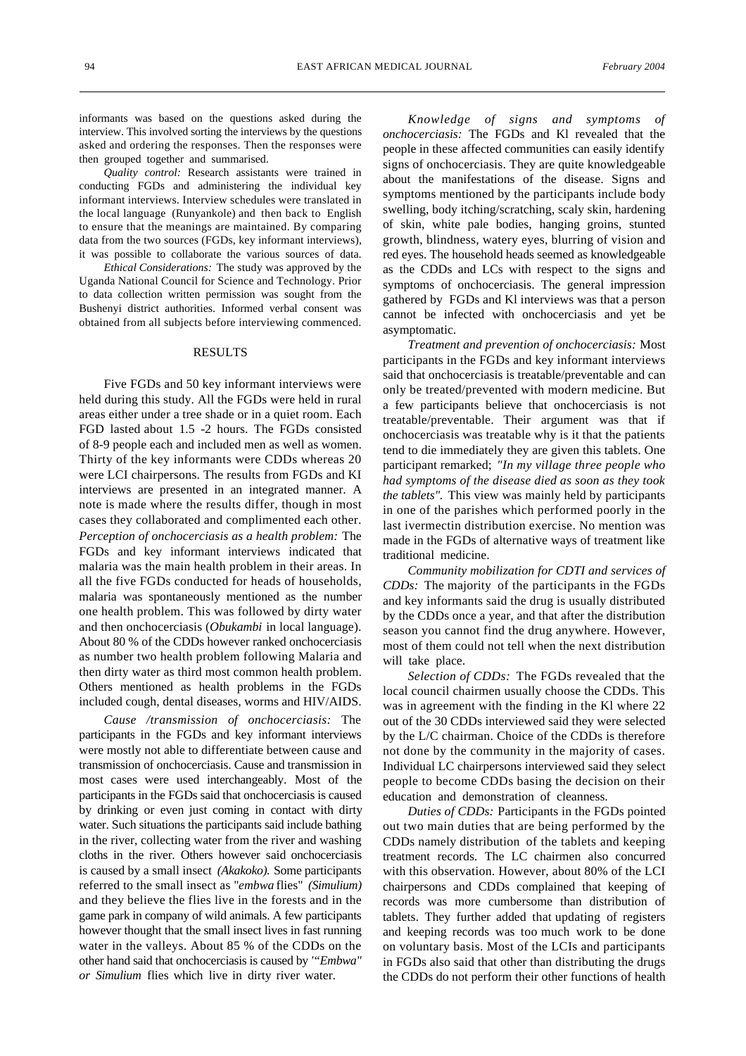informants was based on the questions asked during the interview. This involved sorting the interviews by the questions asked and ordering the responses. Then the responses were then grouped together and summarised.

*Quality control:* Research assistants were trained in conducting FGDs and administering the individual key informant interviews. Interview schedules were translated in the local language (Runyankole) and then back to English to ensure that the meanings are maintained. By comparing data from the two sources (FGDs, key informant interviews), it was possible to collaborate the various sources of data.

*Ethical Considerations:* The study was approved by the Uganda National Council for Science and Technology. Prior to data collection written permission was sought from the Bushenyi district authorities. Informed verbal consent was obtained from all subjects before interviewing commenced.

#### RESULTS

Five FGDs and 50 key informant interviews were held during this study. All the FGDs were held in rural areas either under a tree shade or in a quiet room. Each FGD lasted about 1.5 -2 hours. The FGDs consisted of 8-9 people each and included men as well as women. Thirty of the key informants were CDDs whereas 20 were LCI chairpersons. The results from FGDs and KI interviews are presented in an integrated manner. A note is made where the results differ, though in most cases they collaborated and complimented each other. *Perception of onchocerciasis as a health problem:* The FGDs and key informant interviews indicated that malaria was the main health problem in their areas. In all the five FGDs conducted for heads of households, malaria was spontaneously mentioned as the number one health problem. This was followed by dirty water and then onchocerciasis (*Obukambi* in local language). About 80 % of the CDDs however ranked onchocerciasis as number two health problem following Malaria and then dirty water as third most common health problem. Others mentioned as health problems in the FGDs included cough, dental diseases, worms and HIV/AIDS.

*Cause /transmission of onchocerciasis:* The participants in the FGDs and key informant interviews were mostly not able to differentiate between cause and transmission of onchocerciasis. Cause and transmission in most cases were used interchangeably. Most of the participants in the FGDs said that onchocerciasis is caused by drinking or even just coming in contact with dirty water. Such situations the participants said include bathing in the river, collecting water from the river and washing cloths in the river. Others however said onchocerciasis is caused by a small insect *(Akakoko).* Some participants referred to the small insect as "*embwa* flies" *(Simulium)* and they believe the flies live in the forests and in the game park in company of wild animals. A few participants however thought that the small insect lives in fast running water in the valleys. About 85 % of the CDDs on the other hand said that onchocerciasis is caused by *'"Embwa" or Simulium* flies which live in dirty river water.

*Knowledge of signs and symptoms of onchocerciasis:* The FGDs and Kl revealed that the people in these affected communities can easily identify signs of onchocerciasis. They are quite knowledgeable about the manifestations of the disease. Signs and symptoms mentioned by the participants include body swelling, body itching/scratching, scaly skin, hardening of skin, white pale bodies, hanging groins, stunted growth, blindness, watery eyes, blurring of vision and red eyes. The household heads seemed as knowledgeable as the CDDs and LCs with respect to the signs and symptoms of onchocerciasis. The general impression gathered by FGDs and Kl interviews was that a person cannot be infected with onchocerciasis and yet be asymptomatic.

*Treatment and prevention of onchocerciasis:* Most participants in the FGDs and key informant interviews said that onchocerciasis is treatable/preventable and can only be treated/prevented with modern medicine. But a few participants believe that onchocerciasis is not treatable/preventable. Their argument was that if onchocerciasis was treatable why is it that the patients tend to die immediately they are given this tablets. One participant remarked; *"In my village three people who had symptoms of the disease died as soon as they took the tablets".* This view was mainly held by participants in one of the parishes which performed poorly in the last ivermectin distribution exercise. No mention was made in the FGDs of alternative ways of treatment like traditional medicine.

*Community mobilization for CDTI and services of CDDs:* The majority of the participants in the FGDs and key informants said the drug is usually distributed by the CDDs once a year, and that after the distribution season you cannot find the drug anywhere. However, most of them could not tell when the next distribution will take place.

*Selection of CDDs:* The FGDs revealed that the local council chairmen usually choose the CDDs. This was in agreement with the finding in the Kl where 22 out of the 30 CDDs interviewed said they were selected by the L/C chairman. Choice of the CDDs is therefore not done by the community in the majority of cases. Individual LC chairpersons interviewed said they select people to become CDDs basing the decision on their education and demonstration of cleanness.

*Duties of CDDs:* Participants in the FGDs pointed out two main duties that are being performed by the CDDs namely distribution of the tablets and keeping treatment records. The LC chairmen also concurred with this observation. However, about 80% of the LCI chairpersons and CDDs complained that keeping of records was more cumbersome than distribution of tablets. They further added that updating of registers and keeping records was too much work to be done on voluntary basis. Most of the LCIs and participants in FGDs also said that other than distributing the drugs the CDDs do not perform their other functions of health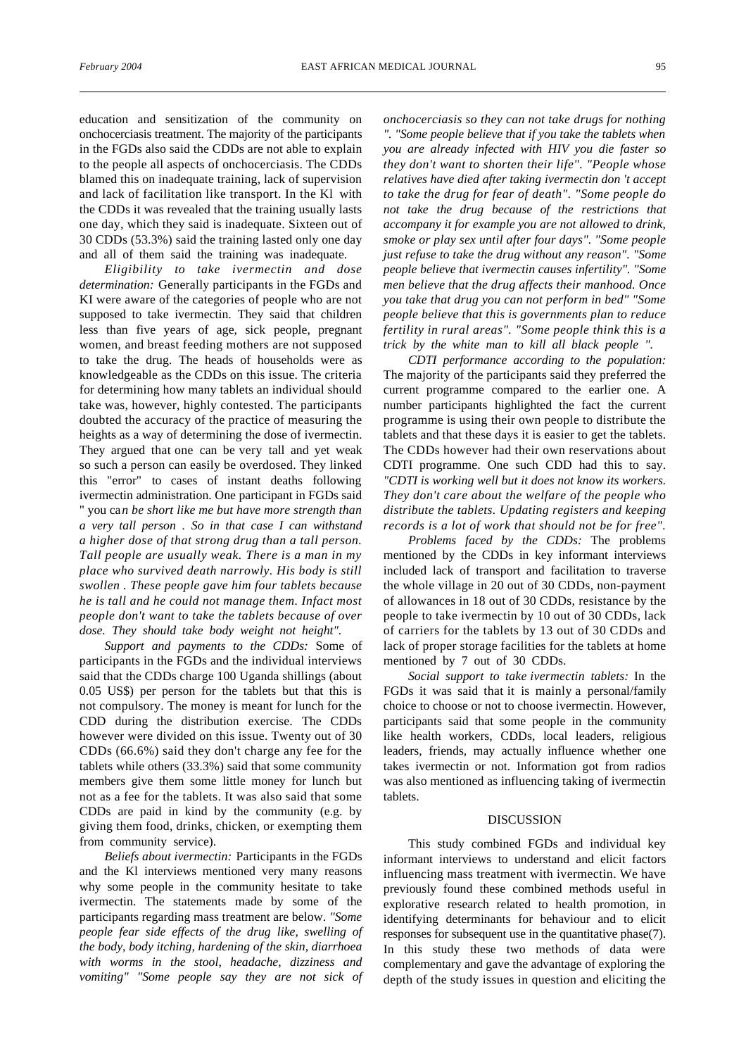education and sensitization of the community on onchocerciasis treatment. The majority of the participants in the FGDs also said the CDDs are not able to explain to the people all aspects of onchocerciasis. The CDDs blamed this on inadequate training, lack of supervision and lack of facilitation like transport. In the Kl with the CDDs it was revealed that the training usually lasts one day, which they said is inadequate. Sixteen out of 30 CDDs (53.3%) said the training lasted only one day and all of them said the training was inadequate.

*Eligibility to take ivermectin and dose determination:* Generally participants in the FGDs and KI were aware of the categories of people who are not supposed to take ivermectin. They said that children less than five years of age, sick people, pregnant women, and breast feeding mothers are not supposed to take the drug. The heads of households were as knowledgeable as the CDDs on this issue. The criteria for determining how many tablets an individual should take was, however, highly contested. The participants doubted the accuracy of the practice of measuring the heights as a way of determining the dose of ivermectin. They argued that one can be very tall and yet weak so such a person can easily be overdosed. They linked this "error" to cases of instant deaths following ivermectin administration. One participant in FGDs said " you ca*n be short like me but have more strength than a very tall person . So in that case I can withstand a higher dose of that strong drug than a tall person. Tall people are usually weak. There is a man in my place who survived death narrowly. His body is still swollen . These people gave him four tablets because he is tall and he could not manage them. Infact most people don't want to take the tablets because of over dose. They should take body weight not height".*

*Support and payments to the CDDs:* Some of participants in the FGDs and the individual interviews said that the CDDs charge 100 Uganda shillings (about 0.05 US\$) per person for the tablets but that this is not compulsory. The money is meant for lunch for the CDD during the distribution exercise. The CDDs however were divided on this issue. Twenty out of 30 CDDs (66.6%) said they don't charge any fee for the tablets while others (33.3%) said that some community members give them some little money for lunch but not as a fee for the tablets. It was also said that some CDDs are paid in kind by the community (e.g. by giving them food, drinks, chicken, or exempting them from community service).

*Beliefs about ivermectin:* Participants in the FGDs and the Kl interviews mentioned very many reasons why some people in the community hesitate to take ivermectin. The statements made by some of the participants regarding mass treatment are below. *"Some people fear side effects of the drug like, swelling of the body, body itching, hardening of the skin, diarrhoea with worms in the stool, headache, dizziness and vomiting" "Some people say they are not sick of* *onchocerciasis so they can not take drugs for nothing ". "Some people believe that if you take the tablets when you are already infected with HIV you die faster so they don't want to shorten their life". "People whose relatives have died after taking ivermectin don 't accept to take the drug for fear of death". "Some people do not take the drug because of the restrictions that accompany it for example you are not allowed to drink, smoke or play sex until after four days". "Some people just refuse to take the drug without any reason". "Some people believe that ivermectin causes infertility". "Some men believe that the drug affects their manhood. Once you take that drug you can not perform in bed" "Some people believe that this is governments plan to reduce fertility in rural areas". "Some people think this is a trick by the white man to kill all black people ".*

*CDTI performance according to the population:* The majority of the participants said they preferred the current programme compared to the earlier one. A number participants highlighted the fact the current programme is using their own people to distribute the tablets and that these days it is easier to get the tablets. The CDDs however had their own reservations about CDTI programme. One such CDD had this to say. *"CDTI is working well but it does not know its workers. They don't care about the welfare of the people who distribute the tablets. Updating registers and keeping records is a lot of work that should not be for free".*

*Problems faced by the CDDs:* The problems mentioned by the CDDs in key informant interviews included lack of transport and facilitation to traverse the whole village in 20 out of 30 CDDs, non-payment of allowances in 18 out of 30 CDDs, resistance by the people to take ivermectin by 10 out of 30 CDDs, lack of carriers for the tablets by 13 out of 30 CDDs and lack of proper storage facilities for the tablets at home mentioned by 7 out of 30 CDDs.

*Social support to take ivermectin tablets:* In the FGDs it was said that it is mainly a personal/family choice to choose or not to choose ivermectin. However, participants said that some people in the community like health workers, CDDs, local leaders, religious leaders, friends, may actually influence whether one takes ivermectin or not. Information got from radios was also mentioned as influencing taking of ivermectin tablets.

#### DISCUSSION

This study combined FGDs and individual key informant interviews to understand and elicit factors influencing mass treatment with ivermectin. We have previously found these combined methods useful in explorative research related to health promotion, in identifying determinants for behaviour and to elicit responses for subsequent use in the quantitative phase(7). In this study these two methods of data were complementary and gave the advantage of exploring the depth of the study issues in question and eliciting the